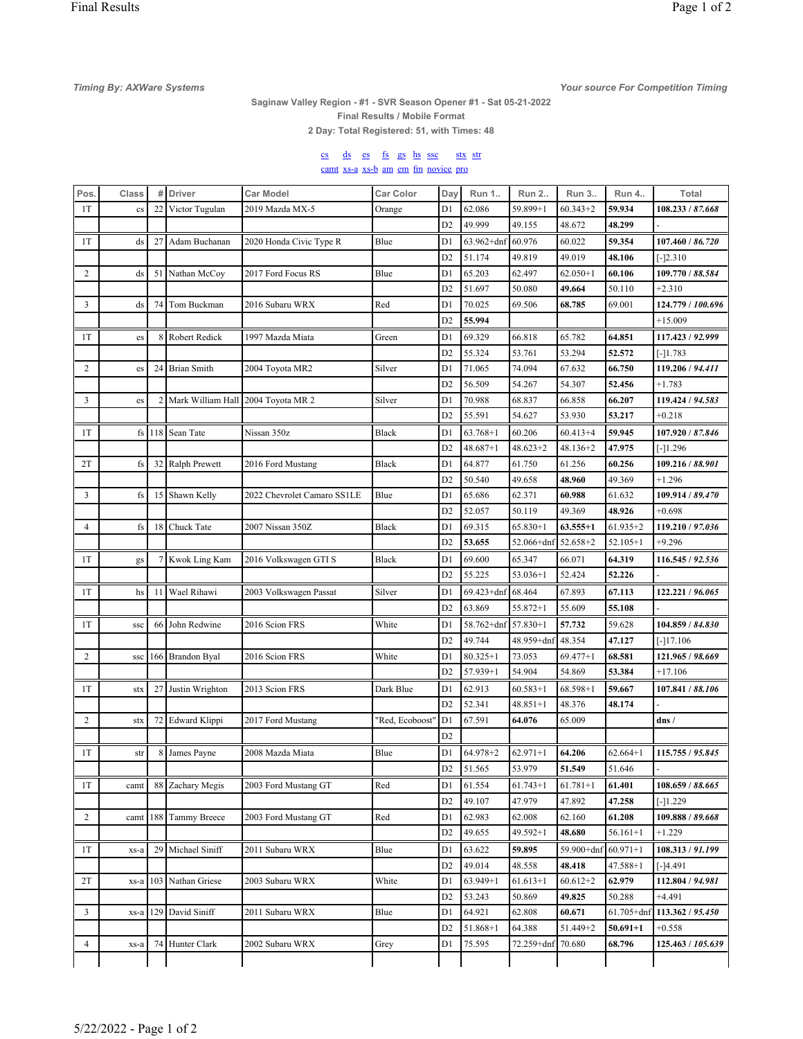**Your source For Competition Timing** 

## Saginaw Valley Region - #1 - SVR Season Opener #1 - Sat 05-21-2022

Final Results / Mobile Format

2 Day: Total Registered: 51, with Times: 48

## cs ds es fs gs hs ssc stx str camt xs-a xs-b am em fm novice pro

| Pos.           | Class        | #             | <b>Driver</b>       | <b>Car Model</b>            | <b>Car Color</b> | Day            | Run 1          | Run 2        | Run 3        | <b>Run 4</b>   | Total                   |
|----------------|--------------|---------------|---------------------|-----------------------------|------------------|----------------|----------------|--------------|--------------|----------------|-------------------------|
| 1T             | $_{\rm cs}$  | 22            | Victor Tugulan      | 2019 Mazda MX-5             | Orange           | D1             | 62.086         | 59.899+1     | $60.343 + 2$ | 59.934         | 108.233 / 87.668        |
|                |              |               |                     |                             |                  | D <sub>2</sub> | 49.999         | 49.155       | 48.672       | 48.299         |                         |
| 1T             | ds           | 27            | Adam Buchanan       | 2020 Honda Civic Type R     | Blue             | D1             | $63.962 + dnf$ | 60.976       | 60.022       | 59.354         | 107.460 / <i>86.720</i> |
|                |              |               |                     |                             |                  | D <sub>2</sub> | 51.174         | 49.819       | 49.019       | 48.106         | $[-]2.310$              |
| 2              | ds           | 51            | Nathan McCoy        | 2017 Ford Focus RS          | Blue             | D1             | 65.203         | 62.497       | $62.050 + 1$ | 60.106         | 109.770 / 88.584        |
|                |              |               |                     |                             |                  | D <sub>2</sub> | 51.697         | 50.080       | 49.664       | 50.110         | $+2.310$                |
| 3              | ds           | 74            | Tom Buckman         | 2016 Subaru WRX             | Red              | D1             | 70.025         | 69.506       | 68.785       | 69.001         | 124.779 / 100.696       |
|                |              |               |                     |                             |                  | D <sub>2</sub> | 55.994         |              |              |                | $+15.009$               |
| 1T             | es           | 8             | Robert Redick       | 1997 Mazda Miata            | Green            | D1             | 69.329         | 66.818       | 65.782       | 64.851         | 117.423 / 92.999        |
|                |              |               |                     |                             |                  | D <sub>2</sub> | 55.324         | 53.761       | 53.294       | 52.572         | $[-]1.783$              |
| $\overline{c}$ | es           | 24            | <b>Brian Smith</b>  | 2004 Toyota MR2             | Silver           | D1             | 71.065         | 74.094       | 67.632       | 66.750         | 119.206 / 94.411        |
|                |              |               |                     |                             |                  | D <sub>2</sub> | 56.509         | 54.267       | 54.307       | 52.456         | $+1.783$                |
| 3              | es           | 2             | Mark William Hall   | 2004 Toyota MR 2            | Silver           | D1             | 70.988         | 68.837       | 66.858       | 66.207         | 119.424 / 94.583        |
|                |              |               |                     |                             |                  | D <sub>2</sub> | 55.591         | 54.627       | 53.930       | 53.217         | $+0.218$                |
| 1T             | fs           | 118           | Sean Tate           | Nissan 350z                 | <b>Black</b>     | D1             | $63.768 + 1$   | 60.206       | $60.413 + 4$ | 59.945         | 107.920 / 87.846        |
|                |              |               |                     |                             |                  | D <sub>2</sub> | $48.687 + 1$   | $48.623 + 2$ | 48.136+2     | 47.975         | $[-]1.296$              |
| 2T             | fs           | 32            | Ralph Prewett       | 2016 Ford Mustang           | Black            | D1             | 64.877         | 61.750       | 61.256       | 60.256         | 109.216 / 88.901        |
|                |              |               |                     |                             |                  | D <sub>2</sub> | 50.540         | 49.658       | 48.960       | 49.369         | $+1.296$                |
| 3              | fs           | 15            | Shawn Kelly         | 2022 Chevrolet Camaro SS1LE | Blue             | D1             | 65.686         | 62.371       | 60.988       | 61.632         | 109.914 / 89.470        |
|                |              |               |                     |                             |                  | D <sub>2</sub> | 52.057         | 50.119       | 49.369       | 48.926         | $+0.698$                |
| 4              | fs           | 18            | Chuck Tate          | 2007 Nissan 350Z            | <b>Black</b>     | D1             | 69.315         | $65.830 + 1$ | $63.555 + 1$ | $61.935 + 2$   | 119.210 / 97.036        |
|                |              |               |                     |                             |                  | D <sub>2</sub> | 53.655         | 52.066+dnf   | $52.658 + 2$ | $52.105 + 1$   | $+9.296$                |
| 1T             | gs           |               | 7 Kwok Ling Kam     | 2016 Volkswagen GTI S       | <b>Black</b>     | D1             | 69.600         | 65.347       | 66.071       | 64.319         | 116.545 / 92.536        |
|                |              |               |                     |                             |                  | D <sub>2</sub> | 55.225         | 53.036+1     | 52.424       | 52.226         |                         |
| 1T             | hs           | <sup>11</sup> | Wael Rihawi         | 2003 Volkswagen Passat      | Silver           | D1             | 69.423+dnf     | 68.464       | 67.893       | 67.113         | 122.221 / 96.065        |
|                |              |               |                     |                             |                  | D <sub>2</sub> | 63.869         | 55.872+1     | 55.609       | 55.108         |                         |
| 1T             | <b>SSC</b>   | 66            | John Redwine        | 2016 Scion FRS              | White            | D1             | 58.762+dnf     | $57.830 + 1$ | 57.732       | 59.628         | 104.859 / 84.830        |
|                |              |               |                     |                             |                  | D <sub>2</sub> | 49.744         | 48.959+dnf   | 48.354       | 47.127         | $[-]17.106$             |
| 2              | $_{\rm SSC}$ | 166           | <b>Brandon Byal</b> | 2016 Scion FRS              | White            | D1             | $80.325 + 1$   | 73.053       | $69.477 + 1$ | 68.581         | 121.965 / 98.669        |
|                |              |               |                     |                             |                  | D <sub>2</sub> | 57.939+1       | 54.904       | 54.869       | 53.384         | $+17.106$               |
| 1T             | stx          | 27            | Justin Wrighton     | 2013 Scion FRS              | Dark Blue        | D1             | 62.913         | $60.583 + 1$ | $68.598 + 1$ | 59.667         | 107.841 / 88.106        |
|                |              |               |                     |                             |                  | D <sub>2</sub> | 52.341         | $48.851 + 1$ | 48.376       | 48.174         |                         |
| $\overline{c}$ | stx          | 72            | Edward Klippi       | 2017 Ford Mustang           | "Red, Ecoboost"  | D1             | 67.591         | 64.076       | 65.009       |                | dns /                   |
|                |              |               |                     |                             |                  | D <sub>2</sub> |                |              |              |                |                         |
| 1T             | str          | 8             | James Payne         | 2008 Mazda Miata            | Blue             | D1             | 64.978+2       | $62.971 + 1$ | 64.206       | $62.664+1$     | 115.755 / 95.845        |
|                |              |               |                     |                             |                  | D <sub>2</sub> | 51.565         | 53.979       | 51.549       | 51.646         |                         |
| 1T             | camt         | 88            | Zachary Megis       | 2003 Ford Mustang GT        | Red              | D1             | 61.554         | $61.743 + 1$ | $61.781 + 1$ | 61.401         | 108.659 / 88.665        |
|                |              |               |                     |                             |                  | D <sub>2</sub> | 49.107         | 47.979       | 47.892       | 47.258         | $[-]1.229$              |
| 2              | camt         | 188           | <b>Tammy Breece</b> | 2003 Ford Mustang GT        | Red              | D1             | 62.983         | 62.008       | 62.160       | 61.208         | 109.888 / 89.668        |
|                |              |               |                     |                             |                  | D <sub>2</sub> | 49.655         | $49.592 + 1$ | 48.680       | $56.161+1$     | $+1.229$                |
| 1T             | xs-a         | 29            | Michael Siniff      | 2011 Subaru WRX             | Blue             | D1             | 63.622         | 59.895       | 59.900+dnf   | $60.971 + 1$   | 108.313 / 91.199        |
|                |              |               |                     |                             |                  | D <sub>2</sub> | 49.014         | 48.558       | 48.418       | $47.588 + 1$   | $[-]4.491$              |
| 2T             | xs-a         | 103           | Nathan Griese       | 2003 Subaru WRX             | White            | D1             | $63.949 + 1$   | $61.613 + 1$ | $60.612 + 2$ | 62.979         | 112.804 / 94.981        |
|                |              |               |                     |                             |                  | D <sub>2</sub> | 53.243         | 50.869       | 49.825       | 50.288         | $+4.491$                |
| 3              | xs-a         | 129           | David Siniff        | 2011 Subaru WRX             | Blue             | D1             | 64.921         | 62.808       | 60.671       | $61.705 + dnf$ | 113.362 / 95.450        |
|                |              |               |                     |                             |                  | D <sub>2</sub> | 51.868+1       | 64.388       | 51.449+2     | 50.691+1       | $+0.558$                |
| $\overline{4}$ | xs-a         | 74            | Hunter Clark        | 2002 Subaru WRX             | Grey             | D1             | 75.595         | 72.259+dnf   | 70.680       | 68.796         | 125.463 / 105.639       |
|                |              |               |                     |                             |                  |                |                |              |              |                |                         |